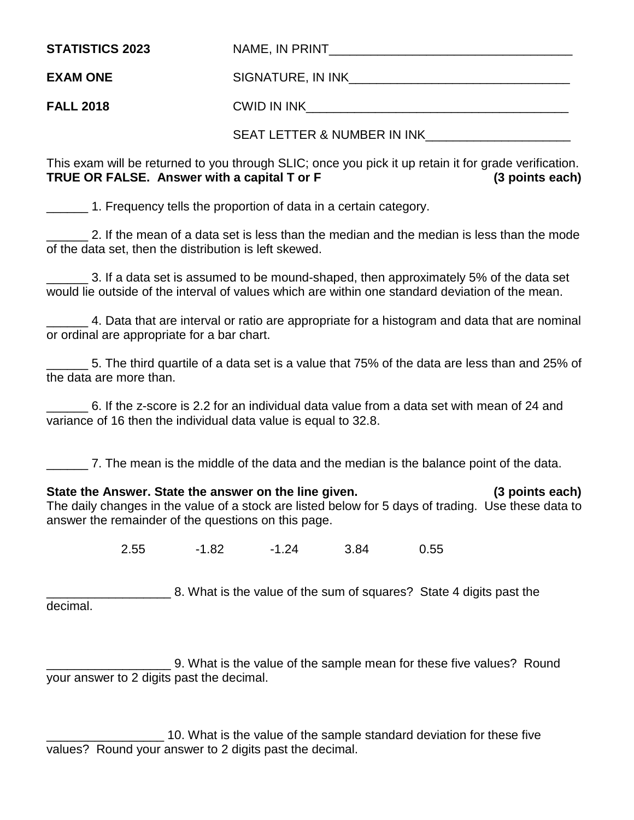| <b>STATISTICS 2023</b> | NAME, IN PRINT    |
|------------------------|-------------------|
| <b>EXAM ONE</b>        | SIGNATURE, IN INK |

**FALL 2018** CWID IN INK\_\_\_\_\_\_\_\_\_\_\_\_\_\_\_\_\_\_\_\_\_\_\_\_\_\_\_\_\_\_\_\_\_\_\_\_\_\_

SEAT LETTER & NUMBER IN INK

This exam will be returned to you through SLIC; once you pick it up retain it for grade verification. **TRUE OR FALSE. Answer with a capital T or F (3 points each)**

\_\_\_\_\_\_ 1. Frequency tells the proportion of data in a certain category.

2. If the mean of a data set is less than the median and the median is less than the mode of the data set, then the distribution is left skewed.

3. If a data set is assumed to be mound-shaped, then approximately 5% of the data set would lie outside of the interval of values which are within one standard deviation of the mean.

\_\_\_\_\_\_ 4. Data that are interval or ratio are appropriate for a histogram and data that are nominal or ordinal are appropriate for a bar chart.

\_\_\_\_\_\_ 5. The third quartile of a data set is a value that 75% of the data are less than and 25% of the data are more than.

\_\_\_\_\_\_ 6. If the z-score is 2.2 for an individual data value from a data set with mean of 24 and variance of 16 then the individual data value is equal to 32.8.

\_\_\_\_\_\_ 7. The mean is the middle of the data and the median is the balance point of the data.

**State the Answer. State the answer on the line given. (3 points each)** The daily changes in the value of a stock are listed below for 5 days of trading. Use these data to answer the remainder of the questions on this page.

2.55 -1.82 -1.24 3.84 0.55

\_\_\_\_\_\_\_\_\_\_\_\_\_\_\_\_\_\_ 8. What is the value of the sum of squares? State 4 digits past the decimal.

\_\_\_\_\_\_\_\_\_\_\_\_\_\_\_\_\_\_ 9. What is the value of the sample mean for these five values? Round your answer to 2 digits past the decimal.

**10.** What is the value of the sample standard deviation for these five values? Round your answer to 2 digits past the decimal.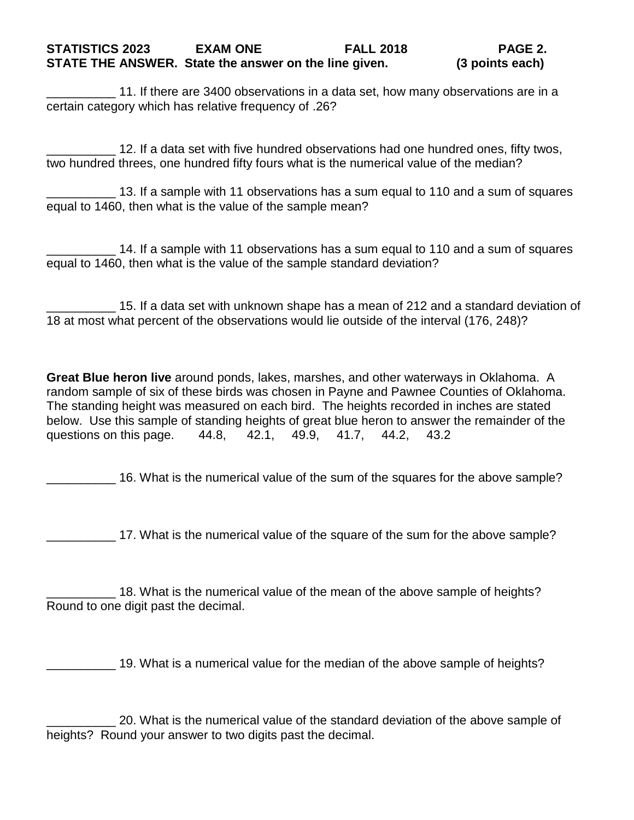11. If there are 3400 observations in a data set, how many observations are in a certain category which has relative frequency of .26?

12. If a data set with five hundred observations had one hundred ones, fifty twos, two hundred threes, one hundred fifty fours what is the numerical value of the median?

13. If a sample with 11 observations has a sum equal to 110 and a sum of squares equal to 1460, then what is the value of the sample mean?

\_\_\_\_\_\_\_\_\_\_ 14. If a sample with 11 observations has a sum equal to 110 and a sum of squares equal to 1460, then what is the value of the sample standard deviation?

\_\_\_\_\_\_\_\_\_\_ 15. If a data set with unknown shape has a mean of 212 and a standard deviation of 18 at most what percent of the observations would lie outside of the interval (176, 248)?

**Great Blue heron live** around ponds, lakes, marshes, and other waterways in Oklahoma. A random sample of six of these birds was chosen in Payne and Pawnee Counties of Oklahoma. The standing height was measured on each bird. The heights recorded in inches are stated below. Use this sample of standing heights of great blue heron to answer the remainder of the questions on this page. 44.8, 42.1, 49.9, 41.7, 44.2, 43.2

\_\_\_\_\_\_\_\_\_\_ 16. What is the numerical value of the sum of the squares for the above sample?

\_\_\_\_\_\_\_\_\_\_ 17. What is the numerical value of the square of the sum for the above sample?

18. What is the numerical value of the mean of the above sample of heights? Round to one digit past the decimal.

19. What is a numerical value for the median of the above sample of heights?

\_\_\_\_\_\_\_\_\_\_ 20. What is the numerical value of the standard deviation of the above sample of heights? Round your answer to two digits past the decimal.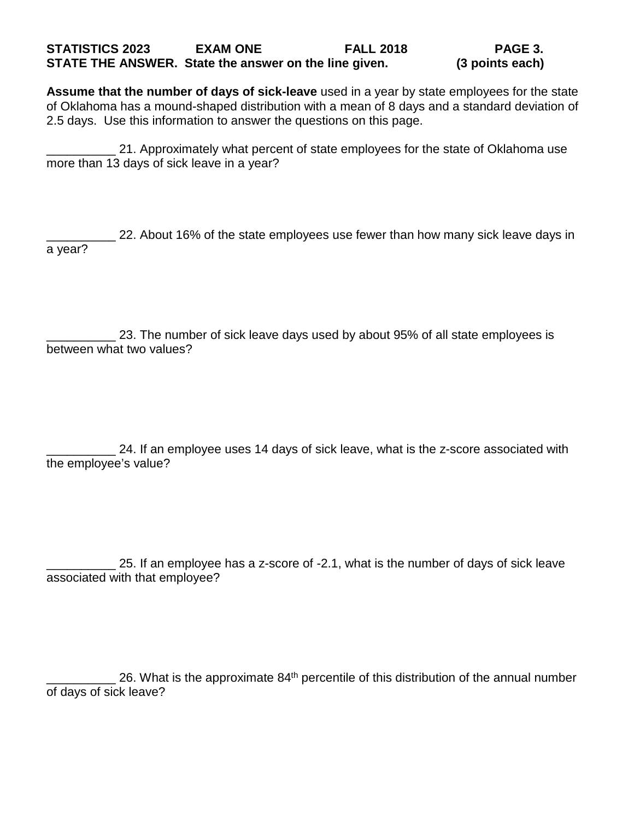## **STATISTICS 2023 EXAM ONE FALL 2018 PAGE 3. STATE THE ANSWER. State the answer on the line given.**

**Assume that the number of days of sick-leave** used in a year by state employees for the state of Oklahoma has a mound-shaped distribution with a mean of 8 days and a standard deviation of 2.5 days. Use this information to answer the questions on this page.

21. Approximately what percent of state employees for the state of Oklahoma use more than 13 days of sick leave in a year?

22. About 16% of the state employees use fewer than how many sick leave days in a year?

23. The number of sick leave days used by about 95% of all state employees is between what two values?

24. If an employee uses 14 days of sick leave, what is the z-score associated with the employee's value?

25. If an employee has a z-score of -2.1, what is the number of days of sick leave associated with that employee?

26. What is the approximate 84<sup>th</sup> percentile of this distribution of the annual number of days of sick leave?